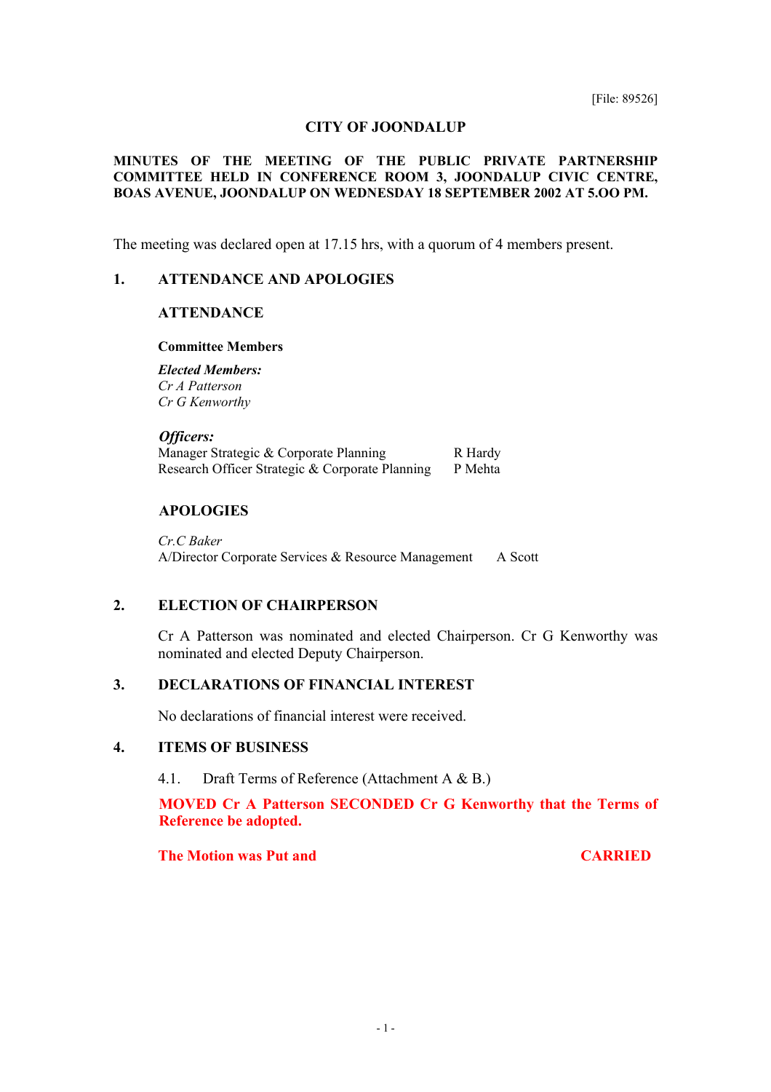### **CITY OF JOONDALUP**

## **MINUTES OF THE MEETING OF THE PUBLIC PRIVATE PARTNERSHIP COMMITTEE HELD IN CONFERENCE ROOM 3, JOONDALUP CIVIC CENTRE, BOAS AVENUE, JOONDALUP ON WEDNESDAY 18 SEPTEMBER 2002 AT 5.OO PM.**

The meeting was declared open at 17.15 hrs, with a quorum of 4 members present.

## **1. ATTENDANCE AND APOLOGIES**

## **ATTENDANCE**

#### **Committee Members**

*Elected Members: Cr A Patterson Cr G Kenworthy* 

#### *Officers:*

Manager Strategic  $&$  Corporate Planning R Hardy Research Officer Strategic & Corporate Planning P Mehta

## **APOLOGIES**

*Cr.C Baker*  A/Director Corporate Services & Resource Management A Scott

## **2. ELECTION OF CHAIRPERSON**

Cr A Patterson was nominated and elected Chairperson. Cr G Kenworthy was nominated and elected Deputy Chairperson.

## **3. DECLARATIONS OF FINANCIAL INTEREST**

No declarations of financial interest were received.

## **4. ITEMS OF BUSINESS**

4.1. Draft Terms of Reference (Attachment A & B.)

**MOVED Cr A Patterson SECONDED Cr G Kenworthy that the Terms of Reference be adopted.** 

**The Motion was Put and CARRIED**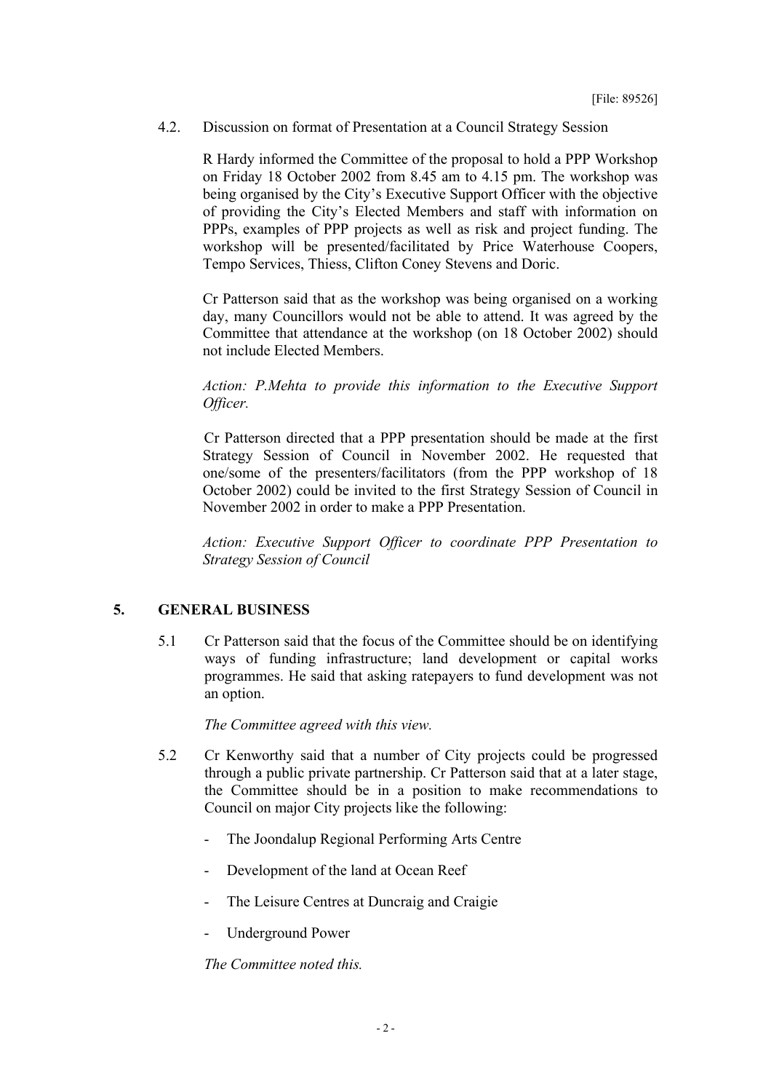4.2. Discussion on format of Presentation at a Council Strategy Session

R Hardy informed the Committee of the proposal to hold a PPP Workshop on Friday 18 October 2002 from 8.45 am to 4.15 pm. The workshop was being organised by the City's Executive Support Officer with the objective of providing the City's Elected Members and staff with information on PPPs, examples of PPP projects as well as risk and project funding. The workshop will be presented/facilitated by Price Waterhouse Coopers, Tempo Services, Thiess, Clifton Coney Stevens and Doric.

Cr Patterson said that as the workshop was being organised on a working day, many Councillors would not be able to attend. It was agreed by the Committee that attendance at the workshop (on 18 October 2002) should not include Elected Members.

*Action: P.Mehta to provide this information to the Executive Support Officer.* 

Cr Patterson directed that a PPP presentation should be made at the first Strategy Session of Council in November 2002. He requested that one/some of the presenters/facilitators (from the PPP workshop of 18 October 2002) could be invited to the first Strategy Session of Council in November 2002 in order to make a PPP Presentation.

*Action: Executive Support Officer to coordinate PPP Presentation to Strategy Session of Council* 

# **5. GENERAL BUSINESS**

5.1 Cr Patterson said that the focus of the Committee should be on identifying ways of funding infrastructure; land development or capital works programmes. He said that asking ratepayers to fund development was not an option.

*The Committee agreed with this view.*

- 5.2 Cr Kenworthy said that a number of City projects could be progressed through a public private partnership. Cr Patterson said that at a later stage, the Committee should be in a position to make recommendations to Council on major City projects like the following:
	- The Joondalup Regional Performing Arts Centre
	- Development of the land at Ocean Reef
	- The Leisure Centres at Duncraig and Craigie
	- Underground Power

*The Committee noted this.*